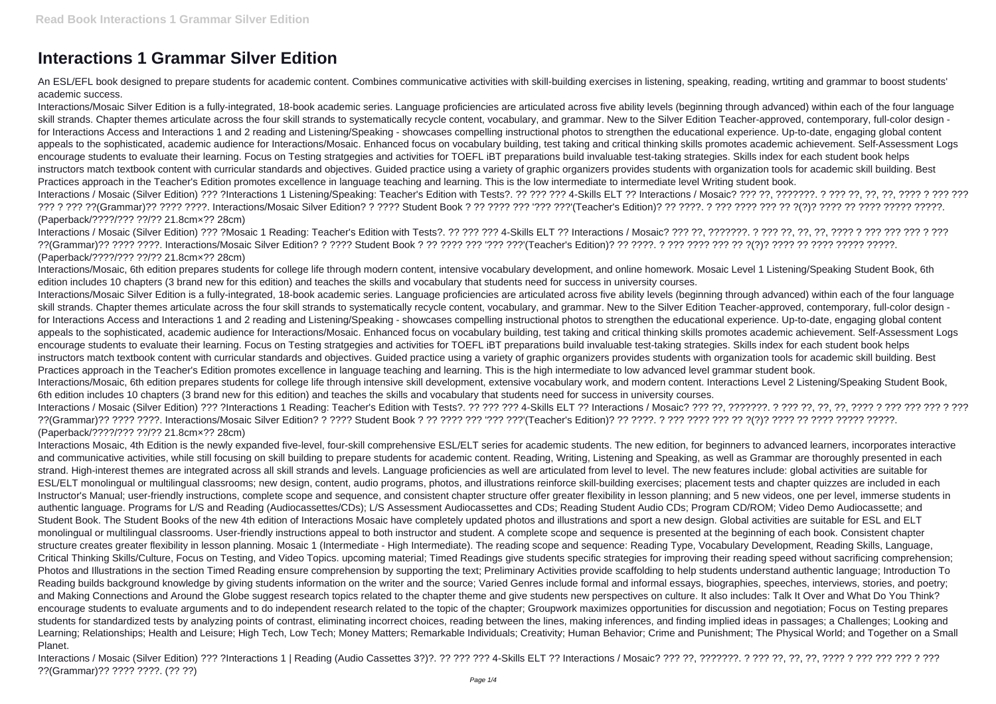## **Interactions 1 Grammar Silver Edition**

An ESL/EFL book designed to prepare students for academic content. Combines communicative activities with skill-building exercises in listening, speaking, reading, wrtiting and grammar to boost students' academic success.

Interactions/Mosaic Silver Edition is a fully-integrated, 18-book academic series. Language proficiencies are articulated across five ability levels (beginning through advanced) within each of the four language skill strands. Chapter themes articulate across the four skill strands to systematically recycle content, vocabulary, and grammar. New to the Silver Edition Teacher-approved, contemporary, full-color design for Interactions Access and Interactions 1 and 2 reading and Listening/Speaking - showcases compelling instructional photos to strengthen the educational experience. Up-to-date, engaging global content appeals to the sophisticated, academic audience for Interactions/Mosaic. Enhanced focus on vocabulary building, test taking and critical thinking skills promotes academic achievement. Self-Assessment Logs encourage students to evaluate their learning. Focus on Testing stratgegies and activities for TOEFL iBT preparations build invaluable test-taking strategies. Skills index for each student book helps instructors match textbook content with curricular standards and objectives. Guided practice using a variety of graphic organizers provides students with organization tools for academic skill building. Best Practices approach in the Teacher's Edition promotes excellence in language teaching and learning. This is the low intermediate to intermediate level Writing student book. Interactions / Mosaic (Silver Edition) ??? ?Interactions 1 Listening/Speaking: Teacher's Edition with Tests?. ?? ??? ??? 4-Skills ELT ?? Interactions / Mosaic? ??? ??, ???????. ? ??? ??, ??, ??, ???? ? ??? ??? ??? ? ??? ??(Grammar)?? ???? ????. Interactions/Mosaic Silver Edition? ? ???? Student Book ? ?? ???? ??? '??? ???'(Teacher's Edition)? ?? ????. ? ??? ???? ??? ?? ?(?)? ???? ?? ???? ????? ?????. (Paperback/????/??? ??/?? 21.8cm×?? 28cm)

Interactions / Mosaic (Silver Edition) ??? ?Mosaic 1 Reading: Teacher's Edition with Tests?. ?? ??? ??? 4-Skills ELT ?? Interactions / Mosaic? ??? ??, ???????. ? ??? ??, ??, ??, ???? ? ??? ??? ??? ? ??? ??(Grammar)?? ???? ????. Interactions/Mosaic Silver Edition? ? ???? Student Book ? ?? ???? ??? '??? ???'(Teacher's Edition)? ?? ????. ? ??? ???? ??? ?? ?(?)? ???? ?? ???? ????? ?????. (Paperback/????/??? ??/?? 21.8cm×?? 28cm)

Interactions/Mosaic, 6th edition prepares students for college life through modern content, intensive vocabulary development, and online homework. Mosaic Level 1 Listening/Speaking Student Book, 6th edition includes 10 chapters (3 brand new for this edition) and teaches the skills and vocabulary that students need for success in university courses.

Interactions/Mosaic Silver Edition is a fully-integrated, 18-book academic series. Language proficiencies are articulated across five ability levels (beginning through advanced) within each of the four language skill strands. Chapter themes articulate across the four skill strands to systematically recycle content, vocabulary, and grammar. New to the Silver Edition Teacher-approved, contemporary, full-color design for Interactions Access and Interactions 1 and 2 reading and Listening/Speaking - showcases compelling instructional photos to strengthen the educational experience. Up-to-date, engaging global content appeals to the sophisticated, academic audience for Interactions/Mosaic. Enhanced focus on vocabulary building, test taking and critical thinking skills promotes academic achievement. Self-Assessment Logs encourage students to evaluate their learning. Focus on Testing stratgegies and activities for TOEFL iBT preparations build invaluable test-taking strategies. Skills index for each student book helps instructors match textbook content with curricular standards and objectives. Guided practice using a variety of graphic organizers provides students with organization tools for academic skill building. Best Practices approach in the Teacher's Edition promotes excellence in language teaching and learning. This is the high intermediate to low advanced level grammar student book. Interactions/Mosaic, 6th edition prepares students for college life through intensive skill development, extensive vocabulary work, and modern content. Interactions Level 2 Listening/Speaking Student Book, 6th edition includes 10 chapters (3 brand new for this edition) and teaches the skills and vocabulary that students need for success in university courses.

Interactions / Mosaic (Silver Edition) ??? ?Interactions 1 Reading: Teacher's Edition with Tests?. ?? ??? ??? 4-Skills ELT ?? Interactions / Mosaic? ??? ??, ???????. ? ??? ??, ??, ??, ???? ? ??? ??? ??? ? ??? ??(Grammar)?? ???? ????. Interactions/Mosaic Silver Edition? ? ???? Student Book ? ?? ???? ??? '??? ???'(Teacher's Edition)? ?? ????. ? ??? ???? ??? ?? ?(?)? ???? ?? ???? ????? ?????. (Paperback/????/??? ??/?? 21.8cm×?? 28cm)

Interactions Mosaic, 4th Edition is the newly expanded five-level, four-skill comprehensive ESL/ELT series for academic students. The new edition, for beginners to advanced learners, incorporates interactive and communicative activities, while still focusing on skill building to prepare students for academic content. Reading, Writing, Listening and Speaking, as well as Grammar are thoroughly presented in each strand. High-interest themes are integrated across all skill strands and levels. Language proficiencies as well are articulated from level to level. The new features include: global activities are suitable for ESL/ELT monolingual or multilingual classrooms; new design, content, audio programs, photos, and illustrations reinforce skill-building exercises; placement tests and chapter quizzes are included in each Instructor's Manual; user-friendly instructions, complete scope and sequence, and consistent chapter structure offer greater flexibility in lesson planning; and 5 new videos, one per level, immerse students in authentic language. Programs for L/S and Reading (Audiocassettes/CDs); L/S Assessment Audiocassettes and CDs; Reading Student Audio CDs; Program CD/ROM; Video Demo Audiocassette; and Student Book. The Student Books of the new 4th edition of Interactions Mosaic have completely updated photos and illustrations and sport a new design. Global activities are suitable for ESL and ELT monolingual or multilingual classrooms. User-friendly instructions appeal to both instructor and student. A complete scope and sequence is presented at the beginning of each book. Consistent chapter structure creates greater flexibility in lesson planning. Mosaic 1 (Intermediate - High Intermediate). The reading scope and sequence: Reading Type, Vocabulary Development, Reading Skills, Language, Critical Thinking Skills/Culture, Focus on Testing, and Video Topics. upcoming material; Timed Readings give students specific strategies for improving their reading speed without sacrificing comprehension; Photos and Illustrations in the section Timed Reading ensure comprehension by supporting the text; Preliminary Activities provide scaffolding to help students understand authentic language; Introduction To Reading builds background knowledge by giving students information on the writer and the source: Varied Genres include formal and informal essays, biographies, speeches, interviews, stories, and poetry; and Making Connections and Around the Globe suggest research topics related to the chapter theme and give students new perspectives on culture. It also includes: Talk It Over and What Do You Think? encourage students to evaluate arguments and to do independent research related to the topic of the chapter; Groupwork maximizes opportunities for discussion and negotiation; Focus on Testing prepares students for standardized tests by analyzing points of contrast, eliminating incorrect choices, reading between the lines, making inferences, and finding implied ideas in passages; a Challenges; Looking and Learning; Relationships; Health and Leisure; High Tech, Low Tech; Money Matters; Remarkable Individuals; Creativity; Human Behavior; Crime and Punishment; The Physical World; and Together on a Small Planet.

Interactions / Mosaic (Silver Edition) ??? ?Interactions 1 | Reading (Audio Cassettes 3?)?. ?? ??? ??? 4-Skills ELT ?? Interactions / Mosaic? ??? ??, ???????. ? ??? ??, ??, ??, ???? ? ??? ??? ??? ? ??? ??(Grammar)?? ???? ????. (?? ??)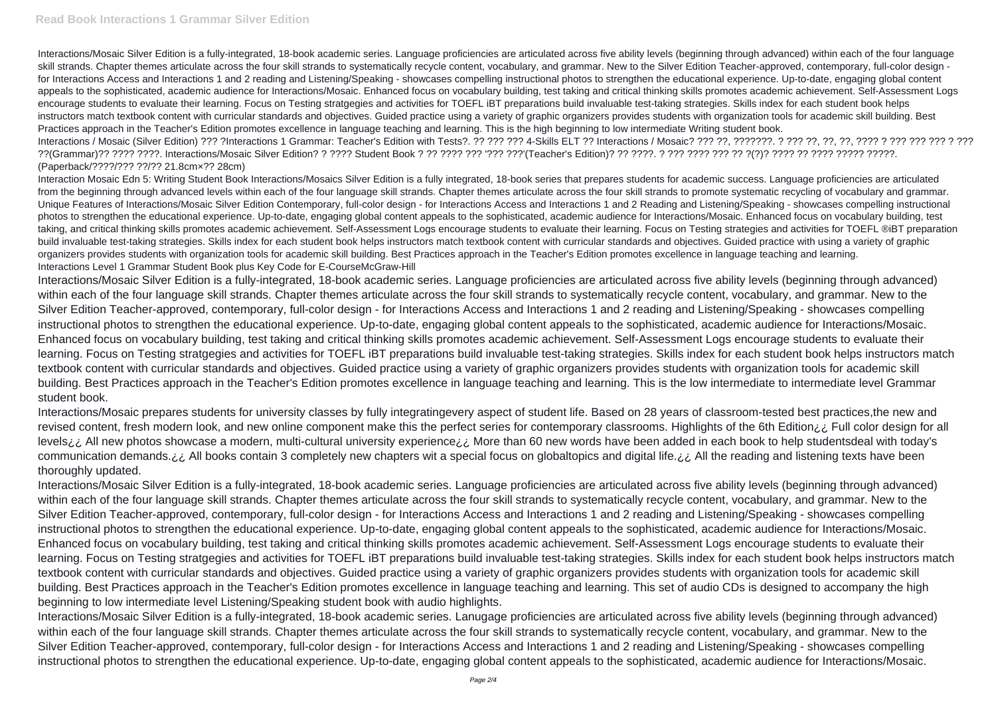Interactions/Mosaic Silver Edition is a fully-integrated, 18-book academic series. Language proficiencies are articulated across five ability levels (beginning through advanced) within each of the four language skill strands. Chapter themes articulate across the four skill strands to systematically recycle content, vocabulary, and grammar. New to the Silver Edition Teacher-approved, contemporary, full-color design for Interactions Access and Interactions 1 and 2 reading and Listening/Speaking - showcases compelling instructional photos to strengthen the educational experience. Up-to-date, engaging global content appeals to the sophisticated, academic audience for Interactions/Mosaic. Enhanced focus on vocabulary building, test taking and critical thinking skills promotes academic achievement. Self-Assessment Logs encourage students to evaluate their learning. Focus on Testing stratgegies and activities for TOEFL iBT preparations build invaluable test-taking strategies. Skills index for each student book helps instructors match textbook content with curricular standards and objectives. Guided practice using a variety of graphic organizers provides students with organization tools for academic skill building. Best Practices approach in the Teacher's Edition promotes excellence in language teaching and learning. This is the high beginning to low intermediate Writing student book. Interactions / Mosaic (Silver Edition) ??? ?Interactions 1 Grammar: Teacher's Edition with Tests?. ?? ??? ??? 4-Skills ELT ?? Interactions / Mosaic? ??? ??, ???????. ? ??? ??, ??, ??, ???? ? ??? ??? ??? ? ??? ??(Grammar)?? ???? ????. Interactions/Mosaic Silver Edition? ? ???? Student Book ? ?? ???? ??? '??? ???'(Teacher's Edition)? ?? ????. ? ??? ???? ??? ?? ?(?)? ???? ?? ???? ????? ?????. (Paperback/????/??? ??/?? 21.8cm×?? 28cm)

Interaction Mosaic Edn 5: Writing Student Book Interactions/Mosaics Silver Edition is a fully integrated, 18-book series that prepares students for academic success. Language proficiencies are articulated from the beginning through advanced levels within each of the four language skill strands. Chapter themes articulate across the four skill strands to promote systematic recycling of vocabulary and grammar. Unique Features of Interactions/Mosaic Silver Edition Contemporary, full-color design - for Interactions Access and Interactions 1 and 2 Reading and Listening/Speaking - showcases compelling instructional photos to strengthen the educational experience. Up-to-date, engaging global content appeals to the sophisticated, academic audience for Interactions/Mosaic. Enhanced focus on vocabulary building, test taking, and critical thinking skills promotes academic achievement. Self-Assessment Logs encourage students to evaluate their learning. Focus on Testing strategies and activities for TOEFL ®iBT preparation build invaluable test-taking strategies. Skills index for each student book helps instructors match textbook content with curricular standards and objectives. Guided practice with using a variety of graphic organizers provides students with organization tools for academic skill building. Best Practices approach in the Teacher's Edition promotes excellence in language teaching and learning. Interactions Level 1 Grammar Student Book plus Key Code for E-CourseMcGraw-Hill

Interactions/Mosaic Silver Edition is a fully-integrated, 18-book academic series. Language proficiencies are articulated across five ability levels (beginning through advanced) within each of the four language skill strands. Chapter themes articulate across the four skill strands to systematically recycle content, vocabulary, and grammar. New to the Silver Edition Teacher-approved, contemporary, full-color design - for Interactions Access and Interactions 1 and 2 reading and Listening/Speaking - showcases compelling instructional photos to strengthen the educational experience. Up-to-date, engaging global content appeals to the sophisticated, academic audience for Interactions/Mosaic. Enhanced focus on vocabulary building, test taking and critical thinking skills promotes academic achievement. Self-Assessment Logs encourage students to evaluate their learning. Focus on Testing stratgegies and activities for TOEFL iBT preparations build invaluable test-taking strategies. Skills index for each student book helps instructors match textbook content with curricular standards and objectives. Guided practice using a variety of graphic organizers provides students with organization tools for academic skill building. Best Practices approach in the Teacher's Edition promotes excellence in language teaching and learning. This is the low intermediate to intermediate level Grammar student book.

Interactions/Mosaic prepares students for university classes by fully integratingevery aspect of student life. Based on 28 years of classroom-tested best practices,the new and revised content, fresh modern look, and new online component make this the perfect series for contemporary classrooms. Highlights of the 6th Edition¿¿ Full color design for all levels<sub>ic</sub> All new photos showcase a modern, multi-cultural university experience ic. More than 60 new words have been added in each book to help studentsdeal with today's communication demands. ¿¿ All books contain 3 completely new chapters wit a special focus on globaltopics and digital life. ¿¿ All the reading and listening texts have been thoroughly updated.

Interactions/Mosaic Silver Edition is a fully-integrated, 18-book academic series. Language proficiencies are articulated across five ability levels (beginning through advanced) within each of the four language skill strands. Chapter themes articulate across the four skill strands to systematically recycle content, vocabulary, and grammar. New to the Silver Edition Teacher-approved, contemporary, full-color design - for Interactions Access and Interactions 1 and 2 reading and Listening/Speaking - showcases compelling instructional photos to strengthen the educational experience. Up-to-date, engaging global content appeals to the sophisticated, academic audience for Interactions/Mosaic. Enhanced focus on vocabulary building, test taking and critical thinking skills promotes academic achievement. Self-Assessment Logs encourage students to evaluate their learning. Focus on Testing stratgegies and activities for TOEFL iBT preparations build invaluable test-taking strategies. Skills index for each student book helps instructors match textbook content with curricular standards and objectives. Guided practice using a variety of graphic organizers provides students with organization tools for academic skill building. Best Practices approach in the Teacher's Edition promotes excellence in language teaching and learning. This set of audio CDs is designed to accompany the high beginning to low intermediate level Listening/Speaking student book with audio highlights.

Interactions/Mosaic Silver Edition is a fully-integrated, 18-book academic series. Lanugage proficiencies are articulated across five ability levels (beginning through advanced) within each of the four language skill strands. Chapter themes articulate across the four skill strands to systematically recycle content, vocabulary, and grammar. New to the Silver Edition Teacher-approved, contemporary, full-color design - for Interactions Access and Interactions 1 and 2 reading and Listening/Speaking - showcases compelling instructional photos to strengthen the educational experience. Up-to-date, engaging global content appeals to the sophisticated, academic audience for Interactions/Mosaic.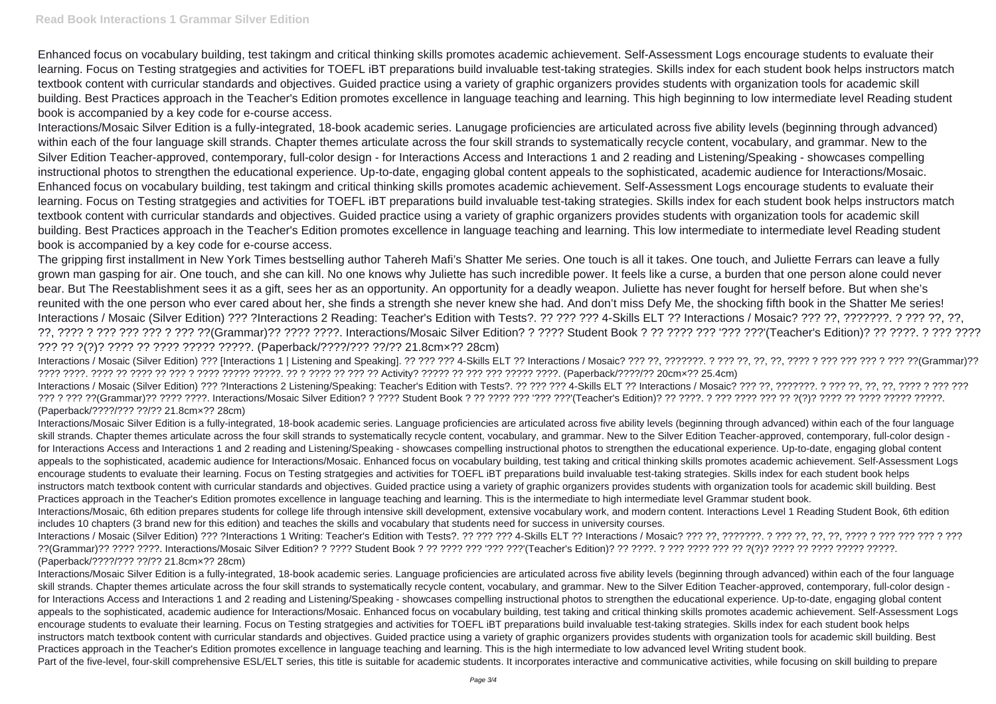Enhanced focus on vocabulary building, test takingm and critical thinking skills promotes academic achievement. Self-Assessment Logs encourage students to evaluate their learning. Focus on Testing stratgegies and activities for TOEFL iBT preparations build invaluable test-taking strategies. Skills index for each student book helps instructors match textbook content with curricular standards and objectives. Guided practice using a variety of graphic organizers provides students with organization tools for academic skill building. Best Practices approach in the Teacher's Edition promotes excellence in language teaching and learning. This high beginning to low intermediate level Reading student book is accompanied by a key code for e-course access.

Interactions/Mosaic Silver Edition is a fully-integrated, 18-book academic series. Lanugage proficiencies are articulated across five ability levels (beginning through advanced) within each of the four language skill strands. Chapter themes articulate across the four skill strands to systematically recycle content, vocabulary, and grammar. New to the Silver Edition Teacher-approved, contemporary, full-color design - for Interactions Access and Interactions 1 and 2 reading and Listening/Speaking - showcases compelling instructional photos to strengthen the educational experience. Up-to-date, engaging global content appeals to the sophisticated, academic audience for Interactions/Mosaic. Enhanced focus on vocabulary building, test takingm and critical thinking skills promotes academic achievement. Self-Assessment Logs encourage students to evaluate their learning. Focus on Testing stratgegies and activities for TOEFL iBT preparations build invaluable test-taking strategies. Skills index for each student book helps instructors match textbook content with curricular standards and objectives. Guided practice using a variety of graphic organizers provides students with organization tools for academic skill building. Best Practices approach in the Teacher's Edition promotes excellence in language teaching and learning. This low intermediate to intermediate level Reading student book is accompanied by a key code for e-course access.

The gripping first installment in New York Times bestselling author Tahereh Mafi's Shatter Me series. One touch is all it takes. One touch, and Juliette Ferrars can leave a fully grown man gasping for air. One touch, and she can kill. No one knows why Juliette has such incredible power. It feels like a curse, a burden that one person alone could never bear. But The Reestablishment sees it as a gift, sees her as an opportunity. An opportunity for a deadly weapon. Juliette has never fought for herself before. But when she's reunited with the one person who ever cared about her, she finds a strength she never knew she had. And don't miss Defy Me, the shocking fifth book in the Shatter Me series! Interactions / Mosaic (Silver Edition) ??? ?Interactions 2 Reading: Teacher's Edition with Tests?. ?? ??? ??? 4-Skills ELT ?? Interactions / Mosaic? ??? ??, ???????. ? ??? ??, ??, ??, ???? ? ??? ??? ??? ? ??? ??(Grammar)?? ???? ????. Interactions/Mosaic Silver Edition? ? ???? Student Book ? ?? ???? ??? '??? ???'(Teacher's Edition)? ?? ????. ? ??? ???? ??? ?? ?(?)? ???? ?? ???? ????? ?????. (Paperback/????/??? ??/?? 21.8cm×?? 28cm)

Interactions/Mosaic Silver Edition is a fully-integrated, 18-book academic series. Language proficiencies are articulated across five ability levels (beginning through advanced) within each of the four language skill strands. Chapter themes articulate across the four skill strands to systematically recycle content, vocabulary, and grammar. New to the Silver Edition Teacher-approved, contemporary, full-color design for Interactions Access and Interactions 1 and 2 reading and Listening/Speaking - showcases compelling instructional photos to strengthen the educational experience. Up-to-date, engaging global content appeals to the sophisticated, academic audience for Interactions/Mosaic. Enhanced focus on vocabulary building, test taking and critical thinking skills promotes academic achievement. Self-Assessment Logs encourage students to evaluate their learning. Focus on Testing stratgegies and activities for TOEFL iBT preparations build invaluable test-taking strategies. Skills index for each student book helps instructors match textbook content with curricular standards and objectives. Guided practice using a variety of graphic organizers provides students with organization tools for academic skill building. Best Practices approach in the Teacher's Edition promotes excellence in language teaching and learning. This is the high intermediate to low advanced level Writing student book. Part of the five-level, four-skill comprehensive ESL/ELT series, this title is suitable for academic students. It incorporates interactive and communicative activities, while focusing on skill building to prepare

Interactions / Mosaic (Silver Edition) ??? [Interactions 1 | Listening and Speaking]. ?? ??? ??? 4-Skills ELT ?? Interactions / Mosaic? ??? ??, ???????. ? ??? ??, ??, ??, ???? ? ??? ??? ??? ? ??? ??(Grammar)?? ???? ????. ???? ?? ???? ?? ??? ? ???? ????? ?????. ?? ? ???? ?? ??? ?? Activity? ????? ?? ??? ??? ????? ????. (Paperback/????/?? 20cm×?? 25.4cm) Interactions / Mosaic (Silver Edition) ??? ?Interactions 2 Listening/Speaking: Teacher's Edition with Tests?. ?? ??? ??? 4-Skills ELT ?? Interactions / Mosaic? ??? ??, ???????. ? ??? ??, ??, ??, ???? ? ??? ??? ??? ? ??? ??(Grammar)?? ???? ????. Interactions/Mosaic Silver Edition? ? ???? Student Book ? ?? ???? ??? '??? ???'(Teacher's Edition)? ?? ????. ? ??? ???? ??? ?? ?(?)? ???? ?? ???? ????? ?????. (Paperback/????/??? ??/?? 21.8cm×?? 28cm)

Interactions/Mosaic Silver Edition is a fully-integrated, 18-book academic series. Language proficiencies are articulated across five ability levels (beginning through advanced) within each of the four language skill strands. Chapter themes articulate across the four skill strands to systematically recycle content, vocabulary, and grammar. New to the Silver Edition Teacher-approved, contemporary, full-color design for Interactions Access and Interactions 1 and 2 reading and Listening/Speaking - showcases compelling instructional photos to strengthen the educational experience. Up-to-date, engaging global content appeals to the sophisticated, academic audience for Interactions/Mosaic. Enhanced focus on vocabulary building, test taking and critical thinking skills promotes academic achievement. Self-Assessment Logs encourage students to evaluate their learning. Focus on Testing stratgegies and activities for TOEFL iBT preparations build invaluable test-taking strategies. Skills index for each student book helps instructors match textbook content with curricular standards and objectives. Guided practice using a variety of graphic organizers provides students with organization tools for academic skill building. Best Practices approach in the Teacher's Edition promotes excellence in language teaching and learning. This is the intermediate to high intermediate level Grammar student book. Interactions/Mosaic, 6th edition prepares students for college life through intensive skill development, extensive vocabulary work, and modern content. Interactions Level 1 Reading Student Book, 6th edition includes 10 chapters (3 brand new for this edition) and teaches the skills and vocabulary that students need for success in university courses.

Interactions / Mosaic (Silver Edition) ??? ?Interactions 1 Writing: Teacher's Edition with Tests?. ?? ??? ??? 4-Skills ELT ?? Interactions / Mosaic? ??? ??, ???????. ? ??? ??, ??, ??, ???? ? ??? ??? ??? ? ??? ??(Grammar)?? ???? ????. Interactions/Mosaic Silver Edition? ? ???? Student Book ? ?? ???? ??? '??? ???'(Teacher's Edition)? ?? ????. ? ??? ???? ??? ?? ?(?)? ???? ?? ???? ????? ?????. (Paperback/????/??? ??/?? 21.8cm×?? 28cm)